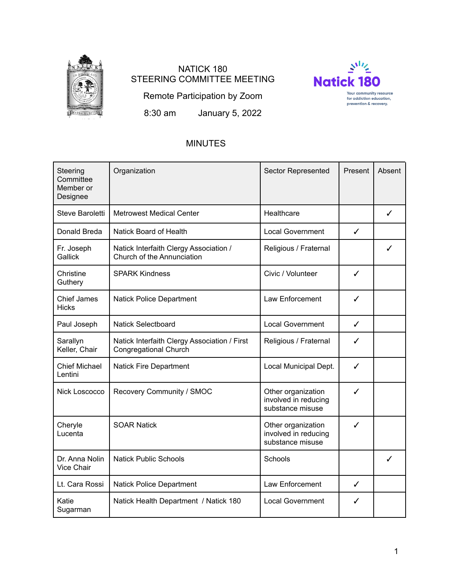

# NATICK 180 STEERING COMMITTEE MEETING



Remote Participation by Zoom

8:30 am January 5, 2022

## MINUTES

| Steering<br>Committee<br>Member or<br>Designee | Organization                                                                 | <b>Sector Represented</b>                                      | Present      | Absent |
|------------------------------------------------|------------------------------------------------------------------------------|----------------------------------------------------------------|--------------|--------|
| Steve Baroletti                                | <b>Metrowest Medical Center</b>                                              | Healthcare                                                     |              | ✓      |
| Donald Breda                                   | <b>Natick Board of Health</b>                                                | <b>Local Government</b>                                        | ✓            |        |
| Fr. Joseph<br>Gallick                          | Natick Interfaith Clergy Association /<br>Church of the Annunciation         | Religious / Fraternal                                          |              | ✓      |
| Christine<br>Guthery                           | <b>SPARK Kindness</b>                                                        | Civic / Volunteer                                              | ✓            |        |
| <b>Chief James</b><br><b>Hicks</b>             | <b>Natick Police Department</b>                                              | Law Enforcement                                                | ✓            |        |
| Paul Joseph                                    | <b>Natick Selectboard</b>                                                    | <b>Local Government</b>                                        | $\checkmark$ |        |
| Sarallyn<br>Keller, Chair                      | Natick Interfaith Clergy Association / First<br><b>Congregational Church</b> | Religious / Fraternal                                          | ✓            |        |
| <b>Chief Michael</b><br>Lentini                | <b>Natick Fire Department</b>                                                | Local Municipal Dept.                                          | ✓            |        |
| Nick Loscocco                                  | Recovery Community / SMOC                                                    | Other organization<br>involved in reducing<br>substance misuse | ✓            |        |
| Cheryle<br>Lucenta                             | <b>SOAR Natick</b>                                                           | Other organization<br>involved in reducing<br>substance misuse | ✓            |        |
| Dr. Anna Nolin<br>Vice Chair                   | <b>Natick Public Schools</b>                                                 | Schools                                                        |              | ✓      |
| Lt. Cara Rossi                                 | <b>Natick Police Department</b>                                              | Law Enforcement                                                | $\checkmark$ |        |
| Katie<br>Sugarman                              | Natick Health Department / Natick 180                                        | <b>Local Government</b>                                        | ✓            |        |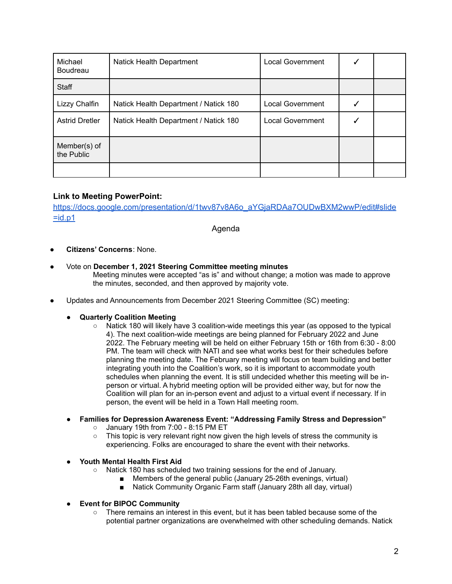| Michael<br>Boudreau        | Natick Health Department              | <b>Local Government</b> |  |
|----------------------------|---------------------------------------|-------------------------|--|
| Staff                      |                                       |                         |  |
| Lizzy Chalfin              | Natick Health Department / Natick 180 | <b>Local Government</b> |  |
| <b>Astrid Dretler</b>      | Natick Health Department / Natick 180 | <b>Local Government</b> |  |
| Member(s) of<br>the Public |                                       |                         |  |
|                            |                                       |                         |  |

## **Link to Meeting PowerPoint:**

[https://docs.google.com/presentation/d/1twv87v8A6o\\_aYGjaRDAa7OUDwBXM2wwP/edit#slide](https://docs.google.com/presentation/d/1twv87v8A6o_aYGjaRDAa7OUDwBXM2wwP/edit#slide=id.p1)  $=$ id.p1

Agenda

- **Citizens' Concerns**: None.
- Vote on **December 1, 2021 Steering Committee meeting minutes** Meeting minutes were accepted "as is" and without change; a motion was made to approve the minutes, seconded, and then approved by majority vote.
- Updates and Announcements from December 2021 Steering Committee (SC) meeting:
	- **Quarterly Coalition Meeting**
		- Natick 180 will likely have 3 coalition-wide meetings this year (as opposed to the typical 4). The next coalition-wide meetings are being planned for February 2022 and June 2022. The February meeting will be held on either February 15th or 16th from 6:30 - 8:00 PM. The team will check with NATI and see what works best for their schedules before planning the meeting date. The February meeting will focus on team building and better integrating youth into the Coalition's work, so it is important to accommodate youth schedules when planning the event. It is still undecided whether this meeting will be inperson or virtual. A hybrid meeting option will be provided either way, but for now the Coalition will plan for an in-person event and adjust to a virtual event if necessary. If in person, the event will be held in a Town Hall meeting room.
	- **Families for Depression Awareness Event: "Addressing Family Stress and Depression"**
		- January 19th from 7:00 8:15 PM ET
		- This topic is very relevant right now given the high levels of stress the community is experiencing. Folks are encouraged to share the event with their networks.
	- **● Youth Mental Health First Aid**
		- Natick 180 has scheduled two training sessions for the end of January.
			- Members of the general public (January 25-26th evenings, virtual)
			- Natick Community Organic Farm staff (January 28th all day, virtual)
	- **● Event for BIPOC Community**
		- There remains an interest in this event, but it has been tabled because some of the potential partner organizations are overwhelmed with other scheduling demands. Natick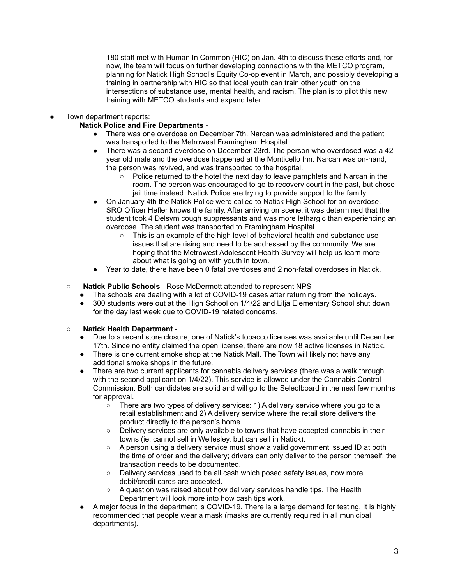180 staff met with Human In Common (HIC) on Jan. 4th to discuss these efforts and, for now, the team will focus on further developing connections with the METCO program, planning for Natick High School's Equity Co-op event in March, and possibly developing a training in partnership with HIC so that local youth can train other youth on the intersections of substance use, mental health, and racism. The plan is to pilot this new training with METCO students and expand later.

Town department reports:

## **Natick Police and Fire Departments** -

- There was one overdose on December 7th. Narcan was administered and the patient was transported to the Metrowest Framingham Hospital.
- There was a second overdose on December 23rd. The person who overdosed was a 42 year old male and the overdose happened at the Monticello Inn. Narcan was on-hand, the person was revived, and was transported to the hospital.
	- Police returned to the hotel the next day to leave pamphlets and Narcan in the room. The person was encouraged to go to recovery court in the past, but chose jail time instead. Natick Police are trying to provide support to the family.
- On January 4th the Natick Police were called to Natick High School for an overdose. SRO Officer Hefler knows the family. After arriving on scene, it was determined that the student took 4 Delsym cough suppressants and was more lethargic than experiencing an overdose. The student was transported to Framingham Hospital.
	- $\circ$  This is an example of the high level of behavioral health and substance use issues that are rising and need to be addressed by the community. We are hoping that the Metrowest Adolescent Health Survey will help us learn more about what is going on with youth in town.
- Year to date, there have been 0 fatal overdoses and 2 non-fatal overdoses in Natick.
- **Natick Public Schools** Rose McDermott attended to represent NPS
	- The schools are dealing with a lot of COVID-19 cases after returning from the holidays.
	- 300 students were out at the High School on 1/4/22 and Lilja Elementary School shut down for the day last week due to COVID-19 related concerns.

## **○ Natick Health Department** -

- Due to a recent store closure, one of Natick's tobacco licenses was available until December 17th. Since no entity claimed the open license, there are now 18 active licenses in Natick.
- There is one current smoke shop at the Natick Mall. The Town will likely not have any additional smoke shops in the future.
- There are two current applicants for cannabis delivery services (there was a walk through with the second applicant on 1/4/22). This service is allowed under the Cannabis Control Commission. Both candidates are solid and will go to the Selectboard in the next few months for approval.
	- $\circ$  There are two types of delivery services: 1) A delivery service where you go to a retail establishment and 2) A delivery service where the retail store delivers the product directly to the person's home.
	- Delivery services are only available to towns that have accepted cannabis in their towns (ie: cannot sell in Wellesley, but can sell in Natick).
	- $\circ$  A person using a delivery service must show a valid government issued ID at both the time of order and the delivery; drivers can only deliver to the person themself; the transaction needs to be documented.
	- Delivery services used to be all cash which posed safety issues, now more debit/credit cards are accepted.
	- A question was raised about how delivery services handle tips. The Health Department will look more into how cash tips work.
- A major focus in the department is COVID-19. There is a large demand for testing. It is highly recommended that people wear a mask (masks are currently required in all municipal departments).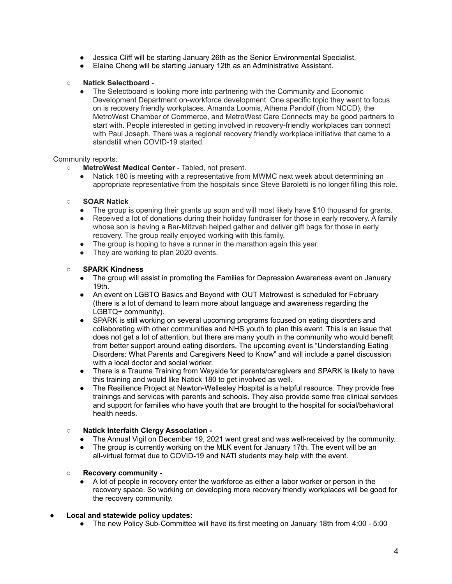- Jessica Cliff will be starting January 26th as the Senior Environmental Specialist.
- Elaine Cheng will be starting January 12th as an Administrative Assistant.

### ○ **Natick Selectboard** -

The Selectboard is looking more into partnering with the Community and Economic Development Department on-workforce development. One specific topic they want to focus on is recovery friendly workplaces. Amanda Loomis, Athena Pandolf (from NCCD), the MetroWest Chamber of Commerce, and MetroWest Care Connects may be good partners to start with. People interested in getting involved in recovery-friendly workplaces can connect with Paul Joseph. There was a regional recovery friendly workplace initiative that came to a standstill when COVID-19 started.

#### Community reports:

- **MetroWest Medical Center** Tabled, not present.
	- Natick 180 is meeting with a representative from MWMC next week about determining an appropriate representative from the hospitals since Steve Baroletti is no longer filling this role.

#### ○ **SOAR Natick**

- The group is opening their grants up soon and will most likely have \$10 thousand for grants.
- Received a lot of donations during their holiday fundraiser for those in early recovery. A family whose son is having a Bar-Mitzvah helped gather and deliver gift bags for those in early recovery. The group really enjoyed working with this family.
- The group is hoping to have a runner in the marathon again this year.
- They are working to plan 2020 events.

#### ○ **SPARK Kindness**

- The group will assist in promoting the Families for Depression Awareness event on January 19th.
- An event on LGBTQ Basics and Beyond with OUT Metrowest is scheduled for February (there is a lot of demand to learn more about language and awareness regarding the LGBTQ+ community).
- SPARK is still working on several upcoming programs focused on eating disorders and collaborating with other communities and NHS youth to plan this event. This is an issue that does not get a lot of attention, but there are many youth in the community who would benefit from better support around eating disorders. The upcoming event is "Understanding Eating Disorders: What Parents and Caregivers Need to Know" and will include a panel discussion with a local doctor and social worker.
- There is a Trauma Training from Wayside for parents/caregivers and SPARK is likely to have this training and would like Natick 180 to get involved as well.
- The Resilience Project at Newton-Wellesley Hospital is a helpful resource. They provide free trainings and services with parents and schools. They also provide some free clinical services and support for families who have youth that are brought to the hospital for social/behavioral health needs.

## ○ **Natick Interfaith Clergy Association -**

- The Annual Vigil on December 19, 2021 went great and was well-received by the community.
- The group is currently working on the MLK event for January 17th. The event will be an all-virtual format due to COVID-19 and NATI students may help with the event.

## ○ **Recovery community -**

A lot of people in recovery enter the workforce as either a labor worker or person in the recovery space. So working on developing more recovery friendly workplaces will be good for the recovery community.

## **● Local and statewide policy updates:**

**●** The new Policy Sub-Committee will have its first meeting on January 18th from 4:00 - 5:00